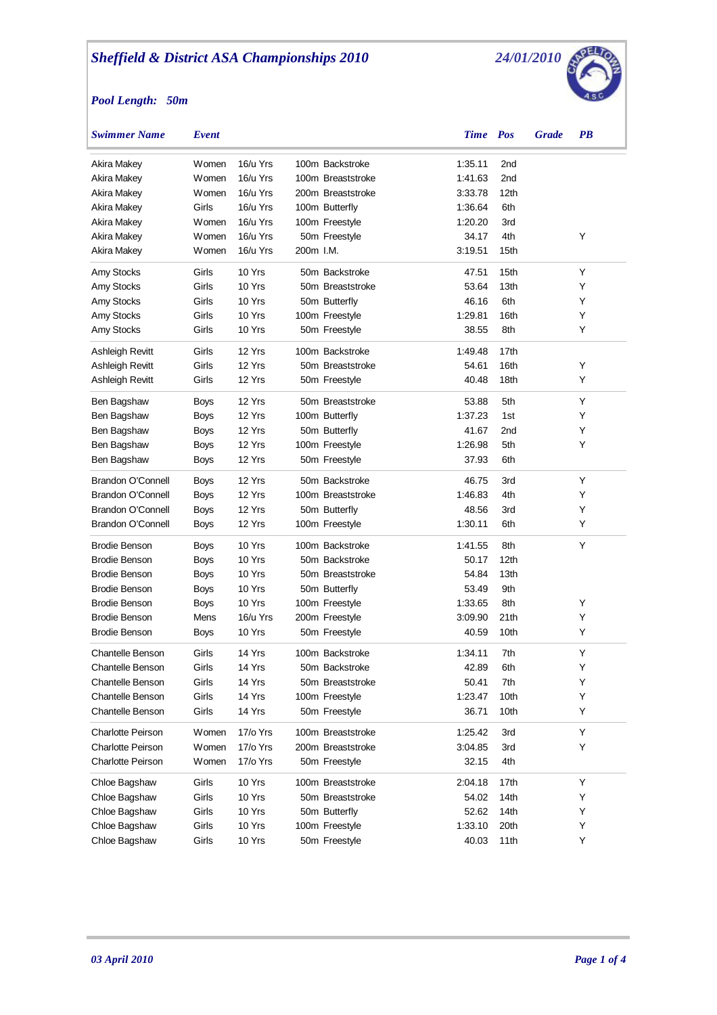## *Pool Length: 50m*



| <b>Swimmer Name</b>      | Event         |          |           |                   | <b>Time</b> Pos |                  | <b>Grade</b> | $\overline{PB}$ |
|--------------------------|---------------|----------|-----------|-------------------|-----------------|------------------|--------------|-----------------|
| Akira Makey              | <b>W</b> omen | 16/u Yrs |           | 100m Backstroke   | 1:35.11         | 2nd              |              |                 |
| Akira Makey              | Women         | 16/u Yrs |           | 100m Breaststroke | 1:41.63         | 2 <sub>nd</sub>  |              |                 |
| Akira Makey              | Women         | 16/u Yrs |           | 200m Breaststroke | 3:33.78         | 12th             |              |                 |
| Akira Makey              | Girls         | 16/u Yrs |           | 100m Butterfly    | 1:36.64         | 6th              |              |                 |
| Akira Makey              | Women         | 16/u Yrs |           | 100m Freestyle    | 1:20.20         | 3rd              |              |                 |
| Akira Makey              | <b>W</b> omen | 16/u Yrs |           | 50m Freestyle     | 34.17           | 4th              |              | Υ               |
| Akira Makey              | Women         | 16/u Yrs | 200m I.M. |                   | 3:19.51         | 15th             |              |                 |
| Amy Stocks               | Girls         | 10 Yrs   |           | 50m Backstroke    | 47.51           | 15th             |              | Y               |
| Amy Stocks               | Girls         | 10 Yrs   |           | 50m Breaststroke  | 53.64           | 13th             |              | Y               |
| Amy Stocks               | Girls         | 10 Yrs   |           | 50m Butterfly     | 46.16           | 6th              |              | Y               |
| Amy Stocks               | Girls         | 10 Yrs   |           | 100m Freestyle    | 1:29.81         | 16th             |              | Y               |
| Amy Stocks               | Girls         | 10 Yrs   |           | 50m Freestyle     | 38.55           | 8th              |              | Y               |
| Ashleigh Revitt          | Girls         | 12 Yrs   |           | 100m Backstroke   | 1:49.48         | 17th             |              |                 |
| Ashleigh Revitt          | Girls         | 12 Yrs   |           | 50m Breaststroke  | 54.61           | 16th             |              | Y               |
| Ashleigh Revitt          | Girls         | 12 Yrs   |           | 50m Freestyle     | 40.48           | 18th             |              | Y               |
| Ben Bagshaw              | <b>Boys</b>   | 12 Yrs   |           | 50m Breaststroke  | 53.88           | 5th              |              | Y               |
| Ben Bagshaw              | <b>Boys</b>   | 12 Yrs   |           | 100m Butterfly    | 1:37.23         | 1st              |              | Y               |
| Ben Bagshaw              | <b>Boys</b>   | 12 Yrs   |           | 50m Butterfly     | 41.67           | 2nd              |              | Y               |
| Ben Bagshaw              | Boys          | 12 Yrs   |           | 100m Freestyle    | 1:26.98         | 5th              |              | Y               |
| Ben Bagshaw              | Boys          | 12 Yrs   |           | 50m Freestyle     | 37.93           | 6th              |              |                 |
| <b>Brandon O'Connell</b> | <b>Boys</b>   | 12 Yrs   |           | 50m Backstroke    | 46.75           | 3rd              |              | Y               |
| <b>Brandon O'Connell</b> | <b>Boys</b>   | 12 Yrs   |           | 100m Breaststroke | 1:46.83         | 4th              |              | Y               |
| <b>Brandon O'Connell</b> | <b>Boys</b>   | 12 Yrs   |           | 50m Butterfly     | 48.56           | 3rd              |              | Υ               |
| <b>Brandon O'Connell</b> | Boys          | 12 Yrs   |           | 100m Freestyle    | 1:30.11         | 6th              |              | Y               |
| <b>Brodie Benson</b>     | <b>Boys</b>   | 10 Yrs   |           | 100m Backstroke   | 1:41.55         | 8th              |              | Y               |
| <b>Brodie Benson</b>     | <b>Boys</b>   | 10 Yrs   |           | 50m Backstroke    | 50.17           | 12 <sub>th</sub> |              |                 |
| <b>Brodie Benson</b>     | <b>Boys</b>   | 10 Yrs   |           | 50m Breaststroke  | 54.84           | 13th             |              |                 |
| <b>Brodie Benson</b>     | <b>Boys</b>   | 10 Yrs   |           | 50m Butterfly     | 53.49           | 9th              |              |                 |
| <b>Brodie Benson</b>     | <b>Boys</b>   | 10 Yrs   |           | 100m Freestyle    | 1:33.65         | 8th              |              | Υ               |
| <b>Brodie Benson</b>     | Mens          | 16/u Yrs |           | 200m Freestyle    | 3:09.90         | 21th             |              | Y               |
| <b>Brodie Benson</b>     | Boys          | 10 Yrs   |           | 50m Freestyle     | 40.59           | 10th             |              | Y               |
| Chantelle Benson         | Girls         | 14 Yrs   |           | 100m Backstroke   | 1:34.11         | 7th              |              | Υ               |
| Chantelle Benson         | Girls         | 14 Yrs   |           | 50m Backstroke    | 42.89           | 6th              |              | Υ               |
| <b>Chantelle Benson</b>  | Girls         | 14 Yrs   |           | 50m Breaststroke  | 50.41           | 7th              |              | Y               |
| <b>Chantelle Benson</b>  | Girls         | 14 Yrs   |           | 100m Freestyle    | 1:23.47         | 10th             |              | Υ               |
| <b>Chantelle Benson</b>  | Girls         | 14 Yrs   |           | 50m Freestyle     | 36.71           | 10th             |              | Y               |
| Charlotte Peirson        | Women         | 17/o Yrs |           | 100m Breaststroke | 1:25.42         | 3rd              |              | Υ               |
| <b>Charlotte Peirson</b> | Women         | 17/o Yrs |           | 200m Breaststroke | 3:04.85         | 3rd              |              | Υ               |
| <b>Charlotte Peirson</b> | Women         | 17/o Yrs |           | 50m Freestyle     | 32.15           | 4th              |              |                 |
| Chloe Bagshaw            | Girls         | 10 Yrs   |           | 100m Breaststroke | 2:04.18         | 17th             |              | Υ               |
| Chloe Bagshaw            | Girls         | 10 Yrs   |           | 50m Breaststroke  | 54.02           | 14th             |              | Y               |
| Chloe Bagshaw            | Girls         | 10 Yrs   |           | 50m Butterfly     | 52.62           | 14th             |              | Y               |
| Chloe Bagshaw            | Girls         | 10 Yrs   |           | 100m Freestyle    | 1:33.10         | 20th             |              | Y               |
| Chloe Bagshaw            | Girls         | 10 Yrs   |           | 50m Freestyle     | 40.03           | 11th             |              | Y               |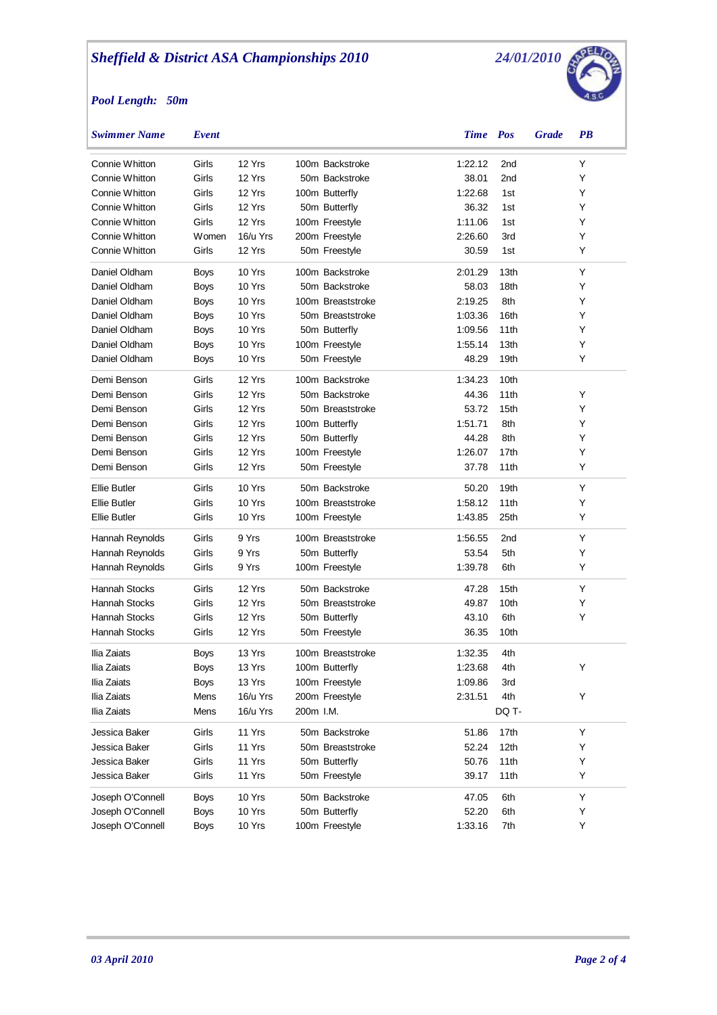## *Pool Length: 50m*



| <b>Swimmer Name</b>  | Event       |          |           |                   | Time    | <b>Pos</b>      | <b>Grade</b> | <b>PB</b> |  |
|----------------------|-------------|----------|-----------|-------------------|---------|-----------------|--------------|-----------|--|
| Connie Whitton       | Girls       | 12 Yrs   |           | 100m Backstroke   | 1:22.12 | 2nd             |              | Y         |  |
| Connie Whitton       | Girls       | 12 Yrs   |           | 50m Backstroke    | 38.01   | 2nd             |              | Y         |  |
| Connie Whitton       | Girls       | 12 Yrs   |           | 100m Butterfly    | 1:22.68 | 1st             |              | Y         |  |
| Connie Whitton       | Girls       | 12 Yrs   |           | 50m Butterfly     | 36.32   | 1st             |              | Y         |  |
| Connie Whitton       | Girls       | 12 Yrs   |           | 100m Freestyle    | 1:11.06 | 1st             |              | Y         |  |
| Connie Whitton       | Women       | 16/u Yrs |           | 200m Freestyle    | 2:26.60 | 3rd             |              | Y         |  |
| Connie Whitton       | Girls       | 12 Yrs   |           | 50m Freestyle     | 30.59   | 1st             |              | Y         |  |
| Daniel Oldham        | <b>Boys</b> | 10 Yrs   |           | 100m Backstroke   | 2:01.29 | 13th            |              | Y         |  |
| Daniel Oldham        | <b>Boys</b> | 10 Yrs   |           | 50m Backstroke    | 58.03   | 18th            |              | Y         |  |
| Daniel Oldham        | <b>Boys</b> | 10 Yrs   |           | 100m Breaststroke | 2:19.25 | 8th             |              | Y         |  |
| Daniel Oldham        | <b>Boys</b> | 10 Yrs   |           | 50m Breaststroke  | 1:03.36 | 16th            |              | Y         |  |
| Daniel Oldham        | <b>Boys</b> | 10 Yrs   |           | 50m Butterfly     | 1:09.56 | 11th            |              | Y         |  |
| Daniel Oldham        | <b>Boys</b> | 10 Yrs   |           | 100m Freestyle    | 1:55.14 | 13th            |              | Y         |  |
| Daniel Oldham        | Boys        | 10 Yrs   |           | 50m Freestyle     | 48.29   | 19th            |              | Y         |  |
| Demi Benson          | Girls       | 12 Yrs   |           | 100m Backstroke   | 1:34.23 | 10th            |              |           |  |
| Demi Benson          | Girls       | 12 Yrs   |           | 50m Backstroke    | 44.36   | 11th            |              | Y         |  |
| Demi Benson          | Girls       | 12 Yrs   |           | 50m Breaststroke  | 53.72   | 15th            |              | Y         |  |
| Demi Benson          | Girls       | 12 Yrs   |           | 100m Butterfly    | 1:51.71 | 8th             |              | Y         |  |
| Demi Benson          | Girls       | 12 Yrs   |           | 50m Butterfly     | 44.28   | 8th             |              | Y         |  |
| Demi Benson          | Girls       | 12 Yrs   |           | 100m Freestyle    | 1:26.07 | 17th            |              | Y         |  |
| Demi Benson          | Girls       | 12 Yrs   |           | 50m Freestyle     | 37.78   | 11th            |              | Y         |  |
| <b>Ellie Butler</b>  | Girls       | 10 Yrs   |           | 50m Backstroke    | 50.20   | 19th            |              | Y         |  |
| <b>Ellie Butler</b>  | Girls       | 10 Yrs   |           | 100m Breaststroke | 1:58.12 | 11th            |              | Υ         |  |
| <b>Ellie Butler</b>  | Girls       | 10 Yrs   |           | 100m Freestyle    | 1:43.85 | 25th            |              | Y         |  |
| Hannah Reynolds      | Girls       | 9 Yrs    |           | 100m Breaststroke | 1:56.55 | 2 <sub>nd</sub> |              | Y         |  |
| Hannah Reynolds      | Girls       | 9 Yrs    |           | 50m Butterfly     | 53.54   | 5th             |              | Y         |  |
| Hannah Reynolds      | Girls       | 9 Yrs    |           | 100m Freestyle    | 1:39.78 | 6th             |              | Y         |  |
| <b>Hannah Stocks</b> | Girls       | 12 Yrs   |           | 50m Backstroke    | 47.28   | 15th            |              | Y         |  |
| <b>Hannah Stocks</b> | Girls       | 12 Yrs   |           | 50m Breaststroke  | 49.87   | 10th            |              | Y         |  |
| Hannah Stocks        | Girls       | 12 Yrs   |           | 50m Butterfly     | 43.10   | 6th             |              | Y         |  |
| Hannah Stocks        | Girls       | 12 Yrs   |           | 50m Freestyle     | 36.35   | 10th            |              |           |  |
| Ilia Zaiats          | Boys        | 13 Yrs   |           | 100m Breaststroke | 1:32.35 | 4th             |              |           |  |
| Ilia Zaiats          | Boys        | 13 Yrs   |           | 100m Butterfly    | 1:23.68 | 4th             |              |           |  |
| Ilia Zaiats          | Boys        | 13 Yrs   |           | 100m Freestyle    | 1:09.86 | 3rd             |              |           |  |
| Ilia Zaiats          | Mens        | 16/u Yrs |           | 200m Freestyle    | 2:31.51 | 4th             |              | Υ         |  |
| Ilia Zaiats          | Mens        | 16/u Yrs | 200m I.M. |                   |         | DQ T-           |              |           |  |
| Jessica Baker        | Girls       | 11 Yrs   |           | 50m Backstroke    | 51.86   | 17th            |              | Υ         |  |
| Jessica Baker        | Girls       | 11 Yrs   |           | 50m Breaststroke  | 52.24   | 12th            |              | Y         |  |
| Jessica Baker        | Girls       | 11 Yrs   |           | 50m Butterfly     | 50.76   | 11th            |              | Y         |  |
| Jessica Baker        | Girls       | 11 Yrs   |           | 50m Freestyle     | 39.17   | 11th            |              | Y         |  |
| Joseph O'Connell     | <b>Boys</b> | 10 Yrs   |           | 50m Backstroke    | 47.05   | 6th             |              | Y         |  |
| Joseph O'Connell     | <b>Boys</b> | 10 Yrs   |           | 50m Butterfly     | 52.20   | 6th             |              | Υ         |  |
| Joseph O'Connell     | <b>Boys</b> | 10 Yrs   |           | 100m Freestyle    | 1:33.16 | 7th             |              | Υ         |  |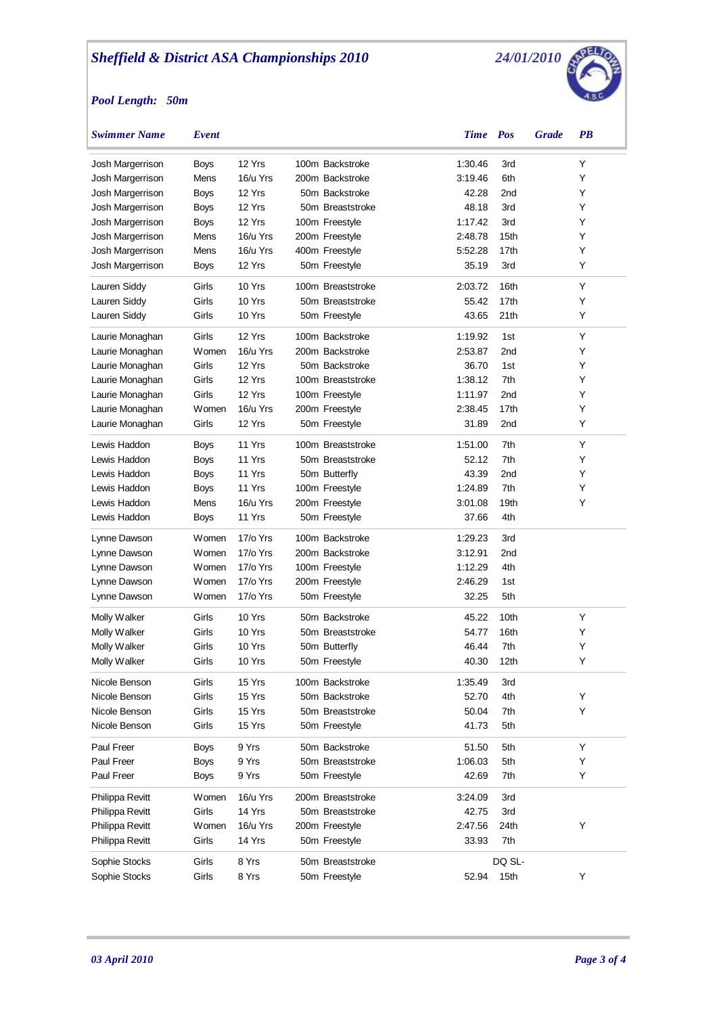## *Pool Length: 50m*



| <b>Swimmer Name</b> | Event         |          |                   | <b>Time</b> Pos |                  | <b>Grade</b> | <b>PB</b> |
|---------------------|---------------|----------|-------------------|-----------------|------------------|--------------|-----------|
| Josh Margerrison    | <b>Boys</b>   | 12 Yrs   | 100m Backstroke   | 1:30.46         | 3rd              |              | Υ         |
| Josh Margerrison    | Mens          | 16/u Yrs | 200m Backstroke   | 3:19.46         | 6th              |              | Y         |
| Josh Margerrison    | <b>Boys</b>   | 12 Yrs   | 50m Backstroke    | 42.28           | 2nd              |              | Y         |
| Josh Margerrison    | <b>Boys</b>   | 12 Yrs   | 50m Breaststroke  | 48.18           | 3rd              |              | Y         |
| Josh Margerrison    | <b>Boys</b>   | 12 Yrs   | 100m Freestyle    | 1:17.42         | 3rd              |              | Y         |
| Josh Margerrison    | Mens          | 16/u Yrs | 200m Freestyle    | 2:48.78         | 15th             |              | Y         |
| Josh Margerrison    | Mens          | 16/u Yrs | 400m Freestyle    | 5:52.28         | 17 <sub>th</sub> |              | Υ         |
| Josh Margerrison    | <b>Boys</b>   | 12 Yrs   | 50m Freestyle     | 35.19           | 3rd              |              | Y         |
| Lauren Siddy        | Girls         | 10 Yrs   | 100m Breaststroke | 2:03.72         | 16th             |              | Υ         |
| Lauren Siddy        | Girls         | 10 Yrs   | 50m Breaststroke  | 55.42           | 17th             |              | Υ         |
| Lauren Siddy        | Girls         | 10 Yrs   | 50m Freestyle     | 43.65           | 21th             |              | Υ         |
| Laurie Monaghan     | Girls         | 12 Yrs   | 100m Backstroke   | 1:19.92         | 1st              |              | Υ         |
| Laurie Monaghan     | Women         | 16/u Yrs | 200m Backstroke   | 2:53.87         | 2nd              |              | Y         |
| Laurie Monaghan     | Girls         | 12 Yrs   | 50m Backstroke    | 36.70           | 1st              |              | Υ         |
| Laurie Monaghan     | Girls         | 12 Yrs   | 100m Breaststroke | 1:38.12         | 7th              |              | Y         |
| Laurie Monaghan     | Girls         | 12 Yrs   | 100m Freestyle    | 1:11.97         | 2nd              |              | Υ         |
| Laurie Monaghan     | <b>W</b> omen | 16/u Yrs | 200m Freestyle    | 2:38.45         | 17th             |              | Υ         |
| Laurie Monaghan     | Girls         | 12 Yrs   | 50m Freestyle     | 31.89           | 2nd              |              | Υ         |
| Lewis Haddon        | <b>Boys</b>   | 11 Yrs   | 100m Breaststroke | 1:51.00         | 7th              |              | Υ         |
| Lewis Haddon        | <b>Boys</b>   | 11 Yrs   | 50m Breaststroke  | 52.12           | 7th              |              | Υ         |
| Lewis Haddon        | <b>Boys</b>   | 11 Yrs   | 50m Butterfly     | 43.39           | 2nd              |              | Υ         |
| Lewis Haddon        | <b>Boys</b>   | 11 Yrs   | 100m Freestyle    | 1:24.89         | 7th              |              | Υ         |
| Lewis Haddon        | Mens          | 16/u Yrs | 200m Freestyle    | 3:01.08         | 19th             |              | Υ         |
| Lewis Haddon        | Boys          | 11 Yrs   | 50m Freestyle     | 37.66           | 4th              |              |           |
| Lynne Dawson        | <b>W</b> omen | 17/o Yrs | 100m Backstroke   | 1:29.23         | 3rd              |              |           |
| Lynne Dawson        | <b>W</b> omen | 17/o Yrs | 200m Backstroke   | 3:12.91         | 2nd              |              |           |
| Lynne Dawson        | <b>W</b> omen | 17/o Yrs | 100m Freestyle    | 1:12.29         | 4th              |              |           |
| Lynne Dawson        | <b>W</b> omen | 17/o Yrs | 200m Freestyle    | 2:46.29         | 1st              |              |           |
| Lynne Dawson        | <b>W</b> omen | 17/o Yrs | 50m Freestyle     | 32.25           | 5th              |              |           |
| Molly Walker        | Girls         | 10 Yrs   | 50m Backstroke    | 45.22           | 10th             |              | Υ         |
| Molly Walker        | Girls         | 10 Yrs   | 50m Breaststroke  | 54.77           | 16th             |              | Υ         |
| Molly Walker        | Girls         | 10 Yrs   | 50m Butterfly     | 46.44           | 7th              |              | Υ         |
| Molly Walker        | Girls         | 10 Yrs   | 50m Freestyle     | 40.30           | 12 <sub>th</sub> |              | Υ         |
| Nicole Benson       | Girls         | 15 Yrs   | 100m Backstroke   | 1:35.49         | 3rd              |              |           |
| Nicole Benson       | Girls         | 15 Yrs   | 50m Backstroke    | 52.70           | 4th              |              | Υ         |
| Nicole Benson       | Girls         | 15 Yrs   | 50m Breaststroke  | 50.04           | 7th              |              | Y         |
| Nicole Benson       | Girls         | 15 Yrs   | 50m Freestyle     | 41.73           | 5th              |              |           |
| Paul Freer          | Boys          | 9 Yrs    | 50m Backstroke    | 51.50           | 5th              |              | Υ         |
| Paul Freer          | <b>Boys</b>   | 9 Yrs    | 50m Breaststroke  | 1:06.03         | 5th              |              | Υ         |
| Paul Freer          | <b>Boys</b>   | 9 Yrs    | 50m Freestyle     | 42.69           | 7th              |              | Y         |
| Philippa Revitt     | Women         | 16/u Yrs | 200m Breaststroke | 3:24.09         | 3rd              |              |           |
| Philippa Revitt     | Girls         | 14 Yrs   | 50m Breaststroke  | 42.75           | 3rd              |              |           |
| Philippa Revitt     | <b>W</b> omen | 16/u Yrs | 200m Freestyle    | 2:47.56         | 24th             |              | Υ         |
| Philippa Revitt     | Girls         | 14 Yrs   | 50m Freestyle     | 33.93           | 7th              |              |           |
| Sophie Stocks       | Girls         | 8 Yrs    | 50m Breaststroke  |                 | DQ SL-           |              |           |
| Sophie Stocks       | Girls         | 8 Yrs    | 50m Freestyle     | 52.94           | 15th             |              | Υ         |